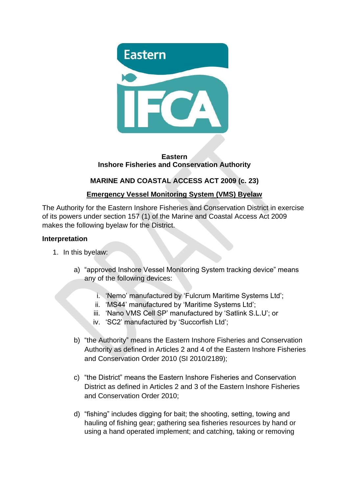

#### **Eastern Inshore Fisheries and Conservation Authority**

## **MARINE AND COASTAL ACCESS ACT 2009 (c. 23)**

## **Emergency Vessel Monitoring System (VMS) Byelaw**

The Authority for the Eastern Inshore Fisheries and Conservation District in exercise of its powers under section 157 (1) of the Marine and Coastal Access Act 2009 makes the following byelaw for the District.

#### **Interpretation**

- 1. In this byelaw:
	- a) "approved Inshore Vessel Monitoring System tracking device" means any of the following devices:
		- i. 'Nemo' manufactured by 'Fulcrum Maritime Systems Ltd';
		- ii. 'MS44' manufactured by 'Maritime Systems Ltd';
		- iii. 'Nano VMS Cell SP' manufactured by 'Satlink S.L.U'; or
		- iv. 'SC2' manufactured by 'Succorfish Ltd';
	- b) "the Authority" means the Eastern Inshore Fisheries and Conservation Authority as defined in Articles 2 and 4 of the Eastern Inshore Fisheries and Conservation Order 2010 (SI 2010/2189);
	- c) "the District" means the Eastern Inshore Fisheries and Conservation District as defined in Articles 2 and 3 of the Eastern Inshore Fisheries and Conservation Order 2010;
	- d) "fishing" includes digging for bait; the shooting, setting, towing and hauling of fishing gear; gathering sea fisheries resources by hand or using a hand operated implement; and catching, taking or removing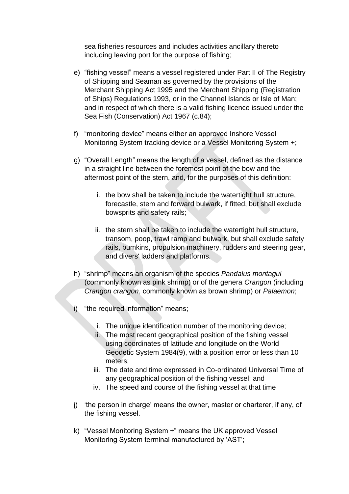sea fisheries resources and includes activities ancillary thereto including leaving port for the purpose of fishing;

- e) "fishing vessel" means a vessel registered under Part II of The Registry of Shipping and Seaman as governed by the provisions of the Merchant Shipping Act 1995 and the Merchant Shipping (Registration of Ships) Regulations 1993, or in the Channel Islands or Isle of Man; and in respect of which there is a valid fishing licence issued under the Sea Fish (Conservation) Act 1967 (c.84);
- f) "monitoring device" means either an approved Inshore Vessel Monitoring System tracking device or a Vessel Monitoring System +;
- g) "Overall Length" means the length of a vessel, defined as the distance in a straight line between the foremost point of the bow and the aftermost point of the stern, and, for the purposes of this definition:
	- i. the bow shall be taken to include the watertight hull structure, forecastle, stem and forward bulwark, if fitted, but shall exclude bowsprits and safety rails;
	- ii. the stern shall be taken to include the watertight hull structure, transom, poop, trawl ramp and bulwark, but shall exclude safety rails, bumkins, propulsion machinery, rudders and steering gear, and divers' ladders and platforms.
- h) "shrimp" means an organism of the species *Pandalus montagui* (commonly known as pink shrimp) or of the genera *Crangon* (including *Crangon crangon*, commonly known as brown shrimp) or *Palaemon*;
- i) "the required information" means;
	- i. The unique identification number of the monitoring device;
	- ii. The most recent geographical position of the fishing vessel using coordinates of latitude and longitude on the World Geodetic System 1984(9), with a position error or less than 10 meters;
	- iii. The date and time expressed in Co-ordinated Universal Time of any geographical position of the fishing vessel; and
	- iv. The speed and course of the fishing vessel at that time
- j) 'the person in charge' means the owner, master or charterer, if any, of the fishing vessel.
- k) "Vessel Monitoring System +" means the UK approved Vessel Monitoring System terminal manufactured by 'AST';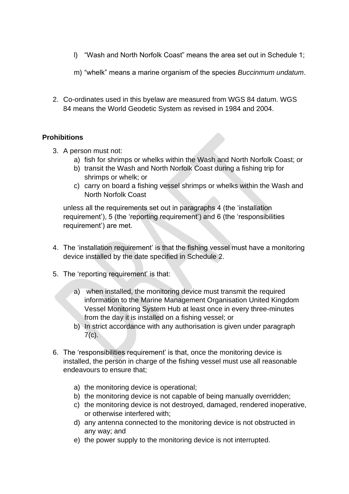- l) "Wash and North Norfolk Coast" means the area set out in Schedule 1;
- m) "whelk" means a marine organism of the species *Buccinmum undatum*.
- 2. Co-ordinates used in this byelaw are measured from WGS 84 datum. WGS 84 means the World Geodetic System as revised in 1984 and 2004.

## **Prohibitions**

- 3. A person must not:
	- a) fish for shrimps or whelks within the Wash and North Norfolk Coast; or
	- b) transit the Wash and North Norfolk Coast during a fishing trip for shrimps or whelk; or
	- c) carry on board a fishing vessel shrimps or whelks within the Wash and North Norfolk Coast

unless all the requirements set out in paragraphs 4 (the 'installation requirement'), 5 (the 'reporting requirement') and 6 (the 'responsibilities requirement') are met.

- 4. The 'installation requirement' is that the fishing vessel must have a monitoring device installed by the date specified in Schedule 2.
- 5. The 'reporting requirement' is that:
	- a) when installed, the monitoring device must transmit the required information to the Marine Management Organisation United Kingdom Vessel Monitoring System Hub at least once in every three-minutes from the day it is installed on a fishing vessel; or
	- b) In strict accordance with any authorisation is given under paragraph  $7(c)$ .
- 6. The 'responsibilities requirement' is that, once the monitoring device is installed, the person in charge of the fishing vessel must use all reasonable endeavours to ensure that;
	- a) the monitoring device is operational;
	- b) the monitoring device is not capable of being manually overridden;
	- c) the monitoring device is not destroyed, damaged, rendered inoperative, or otherwise interfered with;
	- d) any antenna connected to the monitoring device is not obstructed in any way; and
	- e) the power supply to the monitoring device is not interrupted.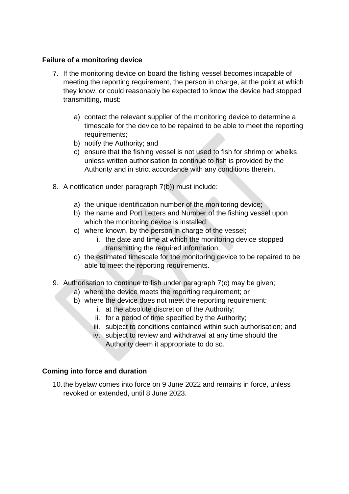#### **Failure of a monitoring device**

- 7. If the monitoring device on board the fishing vessel becomes incapable of meeting the reporting requirement, the person in charge, at the point at which they know, or could reasonably be expected to know the device had stopped transmitting, must:
	- a) contact the relevant supplier of the monitoring device to determine a timescale for the device to be repaired to be able to meet the reporting requirements;
	- b) notify the Authority; and
	- c) ensure that the fishing vessel is not used to fish for shrimp or whelks unless written authorisation to continue to fish is provided by the Authority and in strict accordance with any conditions therein.
- 8. A notification under paragraph 7(b)) must include:
	- a) the unique identification number of the monitoring device;
	- b) the name and Port Letters and Number of the fishing vessel upon which the monitoring device is installed;
	- c) where known, by the person in charge of the vessel;
		- i. the date and time at which the monitoring device stopped transmitting the required information;
	- d) the estimated timescale for the monitoring device to be repaired to be able to meet the reporting requirements.
- 9. Authorisation to continue to fish under paragraph 7(c) may be given;
	- a) where the device meets the reporting requirement; or
	- b) where the device does not meet the reporting requirement:
		- i. at the absolute discretion of the Authority;
		- ii. for a period of time specified by the Authority;
		- iii. subject to conditions contained within such authorisation; and
		- iv. subject to review and withdrawal at any time should the Authority deem it appropriate to do so.

#### **Coming into force and duration**

10.the byelaw comes into force on 9 June 2022 and remains in force, unless revoked or extended, until 8 June 2023.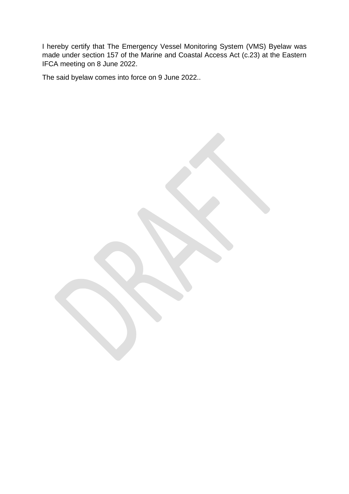I hereby certify that The Emergency Vessel Monitoring System (VMS) Byelaw was made under section 157 of the Marine and Coastal Access Act (c.23) at the Eastern IFCA meeting on 8 June 2022.

The said byelaw comes into force on 9 June 2022..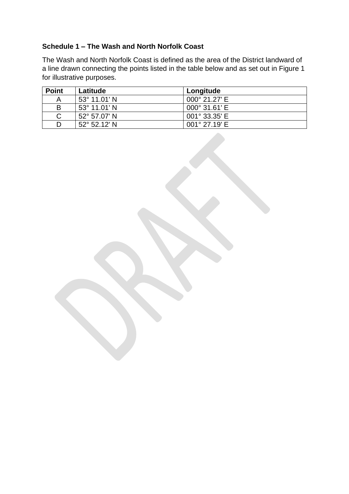### **Schedule 1 – The Wash and North Norfolk Coast**

The Wash and North Norfolk Coast is defined as the area of the District landward of a line drawn connecting the points listed in the table below and as set out in Figure 1 for illustrative purposes.

| <b>Point</b> | Latitude              | Longitude              |
|--------------|-----------------------|------------------------|
| Α            | $53^{\circ}$ 11.01' N | 000° 21.27' E          |
| в            | $53^{\circ}$ 11.01' N | $000^{\circ}$ 31.61' E |
| C            | $52^{\circ}$ 57.07' N | 001° 33.35' E          |
|              | $52^{\circ}$ 52.12' N | 001° 27.19' E          |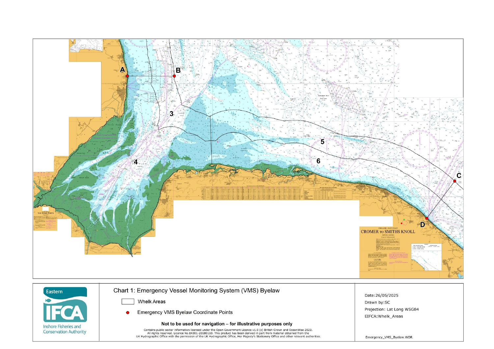